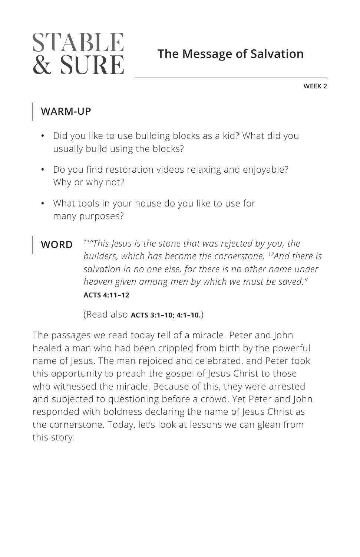# STABLE & SURE

## **The Message of Salvation**

**WEEK 2**

### **WARM-UP**

- **•** Did you like to use building blocks as a kid? What did you usually build using the blocks?
- **•** Do you find restoration videos relaxing and enjoyable? Why or why not?
- **•** What tools in your house do you like to use for many purposes?
- **WORD** *11"This Jesus is the stone that was rejected by you, the builders, which has become the cornerstone. 12And there is salvation in no one else, for there is no other name under heaven given among men by which we must be saved." ^***ACTS 4:11–12**

(Read also **ACTS 3:1-10; 4:1-10.**)

The passages we read today tell of a miracle. Peter and John healed a man who had been crippled from birth by the powerful name of Jesus. The man rejoiced and celebrated, and Peter took this opportunity to preach the gospel of Jesus Christ to those who witnessed the miracle. Because of this, they were arrested and subjected to questioning before a crowd. Yet Peter and John responded with boldness declaring the name of Jesus Christ as the cornerstone. Today, let's look at lessons we can glean from this story.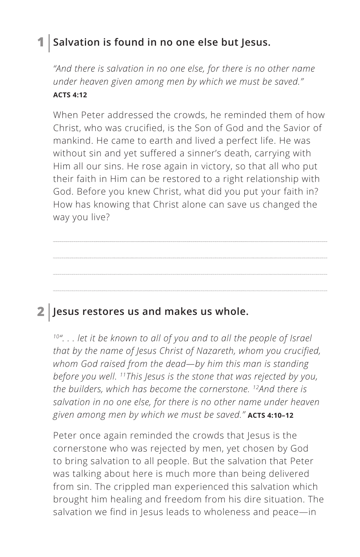### **1 Salvation is found in no one else but Jesus.**

*"And there is salvation in no one else, for there is no other name under heaven given among men by which we must be saved." ^***ACTS 4:12**

When Peter addressed the crowds, he reminded them of how Christ, who was crucified, is the Son of God and the Savior of mankind. He came to earth and lived a perfect life. He was without sin and yet suffered a sinner's death, carrying with Him all our sins. He rose again in victory, so that all who put their faith in Him can be restored to a right relationship with God. Before you knew Christ, what did you put your faith in? How has knowing that Christ alone can save us changed the way you live?

### **2 Jesus restores us and makes us whole.**

*10". . . let it be known to all of you and to all the people of Israel that by the name of Jesus Christ of Nazareth, whom you crucified, whom God raised from the dead—by him this man is standing before you well. 11This Jesus is the stone that was rejected by you, the builders, which has become the cornerstone. 12And there is salvation in no one else, for there is no other name under heaven given among men by which we must be saved." ^***ACTS 4:10–12**

Peter once again reminded the crowds that Jesus is the cornerstone who was rejected by men, yet chosen by God to bring salvation to all people. But the salvation that Peter was talking about here is much more than being delivered from sin. The crippled man experienced this salvation which brought him healing and freedom from his dire situation. The salvation we find in Jesus leads to wholeness and peace—in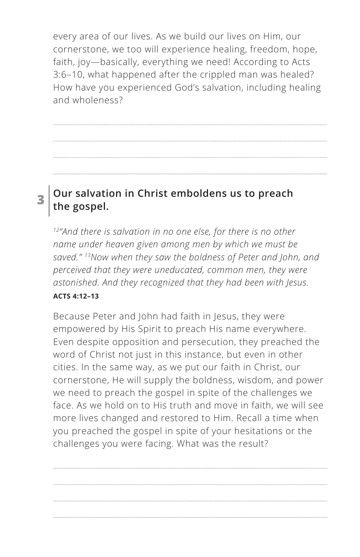every area of our lives. As we build our lives on Him, our cornerstone, we too will experience healing, freedom, hope, faith, joy—basically, everything we need! According to Acts 3:6–10, what happened after the crippled man was healed? How have you experienced God's salvation, including healing and wholeness?

### **3 Our salvation in Christ emboldens us to preach the gospel.**

*12"And there is salvation in no one else, for there is no other name under heaven given among men by which we must be saved." 13Now when they saw the boldness of Peter and John, and perceived that they were uneducated, common men, they were astonished. And they recognized that they had been with Jesus. ^***ACTS 4:12–13**

Because Peter and John had faith in Jesus, they were empowered by His Spirit to preach His name everywhere. Even despite opposition and persecution, they preached the word of Christ not just in this instance, but even in other cities. In the same way, as we put our faith in Christ, our cornerstone, He will supply the boldness, wisdom, and power we need to preach the gospel in spite of the challenges we face. As we hold on to His truth and move in faith, we will see more lives changed and restored to Him. Recall a time when you preached the gospel in spite of your hesitations or the challenges you were facing. What was the result?